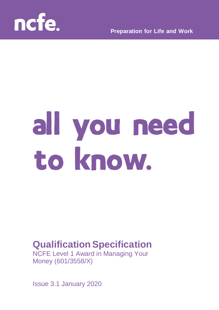

**Preparation for Life and Work**

# all you need to know.

# **Qualification Specification**

NCFE Level 1 Award in Managing Your Money (601/3558/X)

Issue 3.1 January 2020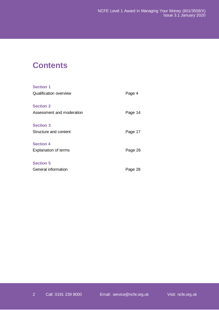# **Contents**

| <b>Section 1</b>              |         |
|-------------------------------|---------|
| <b>Qualification overview</b> | Page 4  |
| <b>Section 2</b>              |         |
| Assessment and moderation     | Page 14 |
| <b>Section 3</b>              |         |
| Structure and content         | Page 17 |
| <b>Section 4</b>              |         |
| <b>Explanation of terms</b>   | Page 26 |
| <b>Section 5</b>              |         |
| General information           | Page 28 |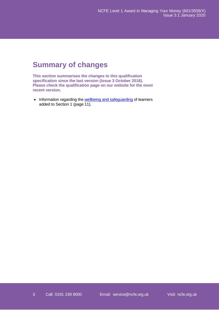# **Summary of changes**

**This section summarises the changes to this qualification specification since the last version (Issue 3 October 2018). Please check the qualification page on our website for the most recent version.** 

• Information regarding the [wellbeing and safeguarding](#page-10-0) of learners added to Section 1 (page 11).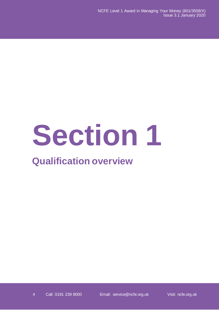# **Section** 1

# **Qualification overview**

4 Call: 0191 239 8000 Email: [service@ncfe.org.uk](mailto:service@ncfe.org.uk) Visit: ncfe.org.uk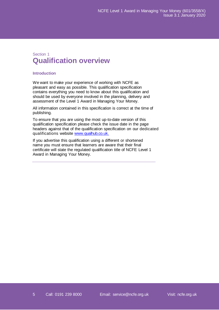# Section 1 **Qualification overview**

# **Introduction**

We want to make your experience of working with NCFE as pleasant and easy as possible. This qualification specification contains everything you need to know about this qualification and should be used by everyone involved in the planning, delivery and assessment of the Level 1 Award in Managing Your Money.

All information contained in this specification is correct at the time of publishing.

To ensure that you are using the most up-to-date version of this qualification specification please check the issue date in the page headers against that of the qualification specification on our dedicated qualifications website [www.qualhub.co.uk.](http://www.qualhub.co.uk./)

If you advertise this qualification using a different or shortened name you must ensure that learners are aware that their final certificate will state the regulated qualification title of NCFE Level 1 Award in Managing Your Money.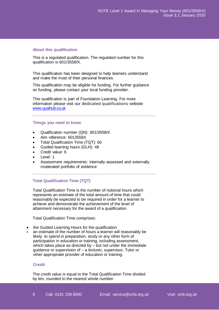## **About this qualification**

This is a regulated qualification. The regulated number for this qualification is 601/3558/X.

This qualification has been designed to help learners understand and make the most of their personal finances.

This qualification may be eligible for funding. For further guidance on funding, please contact your local funding provider.

This qualification is part of Foundation Learning. For more information please visit our dedicated qualifications website www.qualhub.co.uk

### **Things you need to know**

- Qualification number (QN): 601/3558/X
- Aim reference: 6013558X
- Total Qualification Time (TQT): 60
- Guided learning hours (GLH): 48
- Credit value: 6
- Level: 1
- Assessment requirements: internally assessed and externally moderated portfolio of evidence

# **Total Qualification Time (TQT)**

Total Qualification Time is the number of notional hours which represents an estimate of the total amount of time that could reasonably be expected to be required in order for a learner to achieve and demonstrate the achievement of the level of attainment necessary for the award of a qualification.

Total Qualification Time comprises:

- the Guided Learning Hours for the qualification
- an estimate of the number of hours a learner will reasonably be likely to spend in preparation, study or any other form of participation in education or training, including assessment, which takes place as directed by – but not under the immediate guidance or supervision of – a lecturer, supervisor, Tutor or other appropriate provider of education or training.

## **Credit**

The credit value is equal to the Total Qualification Time divided by ten, rounded to the nearest whole number.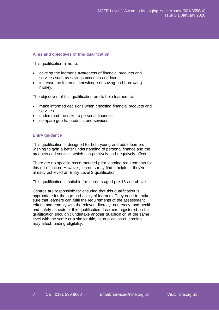# **Aims and objectives of this qualification**

This qualification aims to:

- develop the learner's awareness of financial products and services such as savings accounts and loans
- increase the learner's knowledge of saving and borrowing money.

The objectives of this qualification are to help learners to:

- make informed decisions when choosing financial products and services
- understand the risks to personal finances
- compare goods, products and services.

# **Entry guidance**

This qualification is designed for both young and adult learners wishing to gain a better understanding of personal finance and the products and services which can positively and negatively affect it.

There are no specific recommended prior learning requirements for this qualification. However, learners may find it helpful if they've already achieved an Entry Level 3 qualification.

This qualification is suitable for learners aged pre-16 and above.

Centres are responsible for ensuring that this qualification is appropriate for the age and ability of learners. They need to make sure that learners can fulfil the requirements of the assessment criteria and comply with the relevant literacy, numeracy, and health and safety aspects of this qualification. Learners registered on this qualification shouldn't undertake another qualification at the same level with the same or a similar title, as duplication of learning may affect funding eligibility.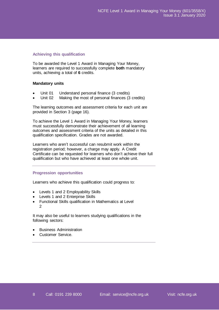# **Achieving this qualification**

To be awarded the Level 1 Award in Managing Your Money, learners are required to successfully complete **both** mandatory units, achieving a total of **6** credits.

# **Mandatory units**

- Unit 01 Understand personal finance (3 credits)
- Unit 02 Making the most of personal finances (3 credits)

The learning outcomes and assessment criteria for each unit are provided in Section 3 (page 16).

To achieve the Level 1 Award in Managing Your Money, learners must successfully demonstrate their achievement of all learning outcomes and assessment criteria of the units as detailed in this qualification specification. Grades are not awarded.

Learners who aren't successful can resubmit work within the registration period; however, a charge may apply. A Credit Certificate can be requested for learners who don't achieve their full qualification but who have achieved at least one whole unit.

# **Progression opportunities**

Learners who achieve this qualification could progress to:

- Levels 1 and 2 Employability Skills
- Levels 1 and 2 Enterprise Skills
- Functional Skills qualification in Mathematics at Level 2

It may also be useful to learners studying qualifications in the following sectors:

- Business Administration
- Customer Service.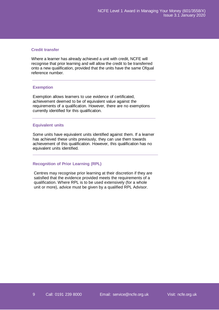# **Credit transfer**

Where a learner has already achieved a unit with credit, NCFE will recognise that prior learning and will allow the credit to be transferred onto a new qualification, provided that the units have the same Ofqual reference number.

# **Exemption**

Exemption allows learners to use evidence of certificated, achievement deemed to be of equivalent value against the requirements of a qualification. However, there are no exemptions currently identified for this qualification.

# **Equivalent units**

Some units have equivalent units identified against them. If a learner has achieved these units previously, they can use them towards achievement of this qualification. However, this qualification has no equivalent units identified.

# **Recognition of Prior Learning (RPL)**

Centres may recognise prior learning at their discretion if they are satisfied that the evidence provided meets the requirements of a qualification. Where RPL is to be used extensively (for a whole unit or more), advice must be given by a qualified RPL Advisor.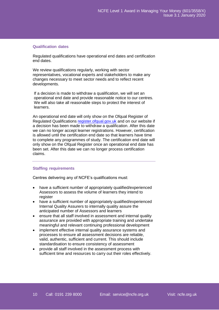# **Qualification dates**

Regulated qualifications have operational end dates and certification end dates.

We review qualifications regularly, working with sector representatives, vocational experts and stakeholders to make any changes necessary to meet sector needs and to reflect recent developments.

If a decision is made to withdraw a qualification, we will set an operational end date and provide reasonable notice to our centres. We will also take all reasonable steps to protect the interest of learners.

An operational end date will only show on the Ofqual Register of Regulated Qualifications [register.ofqual.gov.uk](https://register.ofqual.gov.uk/) and on our website if a decision has been made to withdraw a qualification. After this date we can no longer accept learner registrations. However, certification is allowed until the certification end date so that learners have time to complete any programmes of study. The certification end date will only show on the Ofqual Register once an operational end date has been set. After this date we can no longer process certification claims.

# **Staffing requirements**

Centres delivering any of NCFE's qualifications must:

- have a sufficient number of appropriately qualified/experienced Assessors to assess the volume of learners they intend to register
- have a sufficient number of appropriately qualified/experienced Internal Quality Assurers to internally quality assure the anticipated number of Assessors and learners
- ensure that all staff involved in assessment and internal quality assurance are provided with appropriate training and undertake meaningful and relevant continuing professional development
- implement effective internal quality assurance systems and processes to ensure all assessment decisions are reliable, valid, authentic, sufficient and current. This should include standardisation to ensure consistency of assessment
- provide all staff involved in the assessment process with sufficient time and resources to carry out their roles effectively.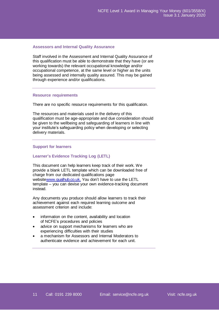# **Assessors and Internal Quality Assurance**

Staff involved in the Assessment and Internal Quality Assurance of this qualification must be able to demonstrate that they have (or are working towards) the relevant occupational knowledge and/or occupational competence, at the same level or higher as the units being assessed and internally quality assured. This may be gained through experience and/or qualifications.

## <span id="page-10-0"></span>**Resource requirements**

There are no specific resource requirements for this qualification.

The resources and materials used in the delivery of this qualification must be age-appropriate and due consideration should be given to the wellbeing and safeguarding of learners in line with your institute's safeguarding policy when developing or selecting delivery materials.

## **Support for learners**

### **Learner's Evidence Tracking Log (LETL)**

This document can help learners keep track of their work. We provide a blank LETL template which can be downloaded free of charge from our dedicated qualifications page websit[ewww.qualhub.co.uk.](http://www.qualhub.co.uk./) You don't have to use the LETL template – you can devise your own evidence-tracking document instead.

Any documents you produce should allow learners to track their achievement against each required learning outcome and assessment criterion and include:

- information on the content, availability and location of NCFE's procedures and policies
- advice on support mechanisms for learners who are experiencing difficulties with their studies
- a mechanism for Assessors and Internal Moderators to authenticate evidence and achievement for each unit.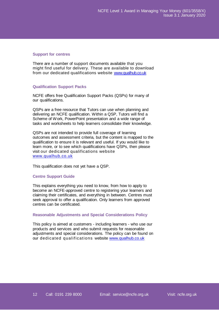## **Support for centres**

There are a number of support documents available that you might find useful for delivery. These are available to download from our dedicated qualifications website [www.qualhub.co.uk](http://www.qualhub.co.uk/)

# **Qualification Support Packs**

NCFE offers free Qualification Support Packs (QSPs) for many of our qualifications.

QSPs are a free resource that Tutors can use when planning and delivering an NCFE qualification. Within a QSP, Tutors will find a Scheme of Work, PowerPoint presentation and a wide range of tasks and worksheets to help learners consolidate their knowledge.

QSPs are not intended to provide full coverage of learning outcomes and assessment criteria, but the content is mapped to the qualification to ensure it is relevant and useful. If you would like to learn more, or to see which qualifications have QSPs, then please visit our dedicated qualifications website [www.qualhub.co.uk](http://www.qualhub.co.uk/)

This qualification does not yet have a QSP.

### **Centre Support Guide**

This explains everything you need to know, from how to apply to become an NCFE-approved centre to registering your learners and claiming their certificates, and everything in between. Centres must seek approval to offer a qualification. Only learners from approved centres can be certificated.

# **Reasonable Adjustments and Special [Considerations](http://www.ncfe.org.uk/download/web/documents/Reasonable-Adjustments-Policy.pdf) Policy**

This policy is aimed at customers - including learners - who use our products and services and who submit requests for reasonable adjustments and special considerations. The policy can be found on our dedicated qualifications website [www.qualhub.co.uk](http://www.qualhub.co.uk/)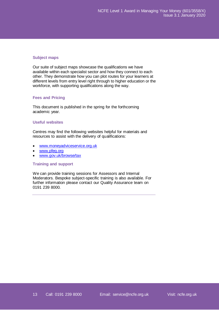# **Subject maps**

Our suite of subject maps showcase the qualifications we have available within each specialist sector and how they connect to each other. They demonstrate how you can plot routes for your learners at different levels from entry level right through to higher education or the workforce, with supporting qualifications along the way.

# **Fees and Pricing**

This document is published in the spring for the forthcoming academic year.

# **Useful websites**

Centres may find the following websites helpful for materials and resources to assist with the delivery of qualifications:

- [www.moneyadviceservice.org.uk](http://www.moneyadviceservice.org.uk/)
- [www.pfeg.org](http://www.pfeg.org/)
- [www.gov.uk/browse/tax](http://www.gov.uk/browse/tax)

# **Training and support**

We can provide training sessions for Assessors and Internal Moderators. Bespoke subject-specific training is also available. For further information please contact our Quality Assurance team on 0191 239 8000.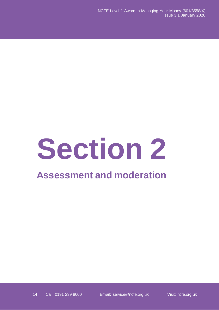# **Section 2**

# **Assessment and moderation**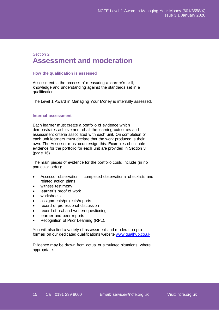# Section 2 **Assessment and moderation**

# **How the qualification is assessed**

Assessment is the process of measuring a learner's skill, knowledge and understanding against the standards set in a qualification.

The Level 1 Award in Managing Your Money is internally assessed.

## **Internal assessment**

Each learner must create a portfolio of evidence which demonstrates achievement of all the learning outcomes and assessment criteria associated with each unit. On completion of each unit learners must declare that the work produced is their own. The Assessor must countersign this. Examples of suitable evidence for the portfolio for each unit are provided in Section 3 (page 16).

The main pieces of evidence for the portfolio could include (in no particular order):

- Assessor observation completed observational checklists and related action plans
- witness testimony
- learner's proof of work
- worksheets
- assignments/projects/reports
- record of professional discussion
- record of oral and written questioning
- learner and peer reports
- Recognition of Prior Learning (RPL).

You will also find a variety of assessment and moderation proformas on our dedicated qualifications website [www.qualhub.co.uk](http://www.qualhub.co.uk/)

Evidence may be drawn from actual or simulated situations, where appropriate.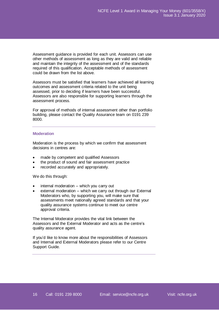Assessment guidance is provided for each unit. Assessors can use other methods of assessment as long as they are valid and reliable and maintain the integrity of the assessment and of the standards required of this qualification. Acceptable methods of assessment could be drawn from the list above.

Assessors must be satisfied that learners have achieved all learning outcomes and assessment criteria related to the unit being assessed, prior to deciding if learners have been successful. Assessors are also responsible for supporting learners through the assessment process.

For approval of methods of internal assessment other than portfolio building, please contact the Quality Assurance team on 0191 239 8000.

# **Moderation**

Moderation is the process by which we confirm that assessment decisions in centres are:

- made by competent and qualified Assessors
- the product of sound and fair assessment practice
- recorded accurately and appropriately.

We do this through:

- internal moderation which you carry out
- external moderation which we carry out through our External Moderators who, by supporting you, will make sure that assessments meet nationally agreed standards and that your quality assurance systems continue to meet our centre approval criteria.

The Internal Moderator provides the vital link between the Assessors and the External Moderator and acts as the centre's quality assurance agent.

If you'd like to know more about the responsibilities of Assessors and Internal and External Moderators please refer to our Centre Support Guide.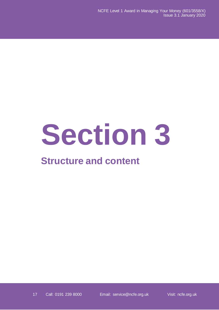# **Section 3**

# **Structure and content**

17 Call: 0191 239 8000 Email: [service@ncfe.org.uk](mailto:service@ncfe.org.uk) Visit: ncfe.org.uk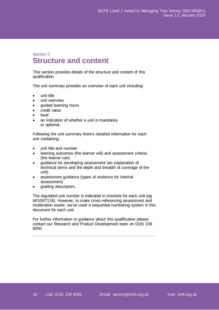# Section 3 **Structure and content**

This section provides details of the structure and content of this qualification.

The unit summary provides an overview of each unit including:

- unit title
- unit overview
- guided learning hours
- credit value
- level
- an indication of whether a unit is mandatory or optional.

Following the unit summary there's detailed information for each unit containing:

- unit title and number
- learning outcomes (the learner will) and assessment criteria (the learner can)
- guidance for developing assessment (an explanation of technical terms and the depth and breadth of coverage of the unit)
- assessment guidance (types of evidence for internal assessment)
- grading descriptors.

The regulated unit number is indicated in brackets for each unit (eg M/100/7116). However, to make cross-referencing assessment and moderation easier, we've used a sequential numbering system in this document for each unit.

For further information or guidance about this qualification please contact our Research and Product Development team on 0191 239 8000.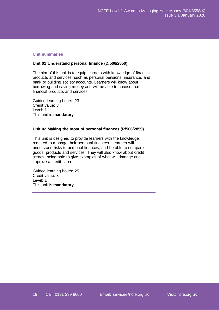# **Unit summaries**

# **Unit 01 Understand personal finance (D/506/2850)**

The aim of this unit is to equip learners with knowledge of financial products and services, such as personal pensions, insurance, and bank or building society accounts. Learners will know about borrowing and saving money and will be able to choose from financial products and services.

Guided learning hours: 23 Credit value: 3 Level: 1 This unit is **mandatory**

# **Unit 02 Making the most of personal finances (R/506/2859)**

This unit is designed to provide learners with the knowledge required to manage their personal finances. Learners will understand risks to personal finances, and be able to compare goods, products and services. They will also know about credit scores, being able to give examples of what will damage and improve a credit score.

Guided learning hours: 25 Credit value: 3 Level: 1 This unit is **mandatory**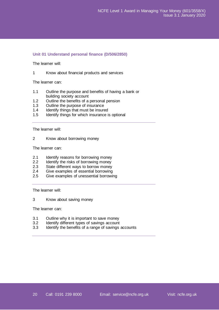# **Unit 01 Understand personal finance (D/506/2850)**

The learner will:

1 Know about financial products and services

The learner can:

- 1.1 Outline the purpose and benefits of having a bank or building society account
- 1.2 Outline the benefits of a personal pension
- 1.3 Outline the purpose of insurance
- 1.4 Identify things that must be insured
- 1.5 Identify things for which insurance is optional

The learner will:

2 Know about borrowing money

The learner can:

- 2.1 Identify reasons for borrowing money
- 2.2 Identify the risks of borrowing money
- 2.3 State different ways to borrow money<br>2.4 Give examples of essential borrowing
- Give examples of essential borrowing
- 2.5 Give examples of unessential borrowing

The learner will:

3 Know about saving money

The learner can:

- 3.1 Outline why it is important to save money<br>3.2 Identify different types of savings account
- Identify different types of savings account
- 3.3 Identify the benefits of a range of savings accounts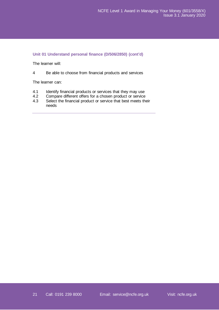# **Unit 01 Understand personal finance (D/506/2850) (cont'd)**

The learner will:

4 Be able to choose from financial products and services

The learner can:

- 4.1 Identify financial products or services that they may use<br>4.2 Compare different offers for a chosen product or service
- 4.2 Compare different offers for a chosen product or service<br>4.3 Select the financial product or service that best meets the
- Select the financial product or service that best meets their needs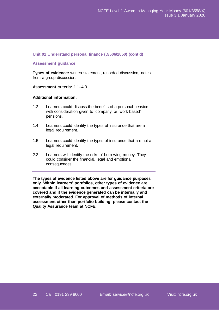# **Unit 01 Understand personal finance (D/506/2850) (cont'd)**

# **Assessment guidance**

**Types of evidence:** written statement, recorded discussion, notes from a group discussion.

# **Assessment criteria:** 1.1–4.3

# **Additional information:**

- 1.2 Learners could discuss the benefits of a personal pension with consideration given to 'company' or 'work-based' pensions.
- 1.4 Learners could identify the types of insurance that are a legal requirement.
- 1.5 Learners could identify the types of insurance that are not a legal requirement.
- 2.2 Learners will identify the risks of borrowing money. They could consider the financial, legal and emotional consequences.

**The types of evidence listed above are for guidance purposes only. Within learners' portfolios, other types of evidence are acceptable if all learning outcomes and assessment criteria are covered and if the evidence generated can be internally and externally moderated. For approval of methods of internal assessment other than portfolio building, please contact the Quality Assurance team at NCFE.**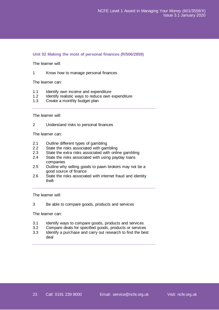# **Unit 02 Making the most of personal finances (R/506/2859)**

The learner will:

1 Know how to manage personal finances

The learner can:

- 1.1 Identify own income and expenditure
- 1.2 Identify realistic ways to reduce own expenditure
- 1.3 Create a monthly budget plan

The learner will:

2 Understand risks to personal finances

The learner can:

- 2.1 Outline different types of gambling
- 2.2 State the risks associated with gambling
- 2.3 State the extra risks associated with online gambling
- 2.4 State the risks associated with using payday loans companies
- 2.5 Outline why selling goods to pawn brokers may not be a good source of finance
- 2.6 State the risks associated with internet fraud and identity theft

The learner will:

3 Be able to compare goods, products and services

The learner can:

- 3.1 Identify ways to compare goods, products and services
- 3.2 Compare deals for specified goods, products or services
- 3.3 Identify a purchase and carry out research to find the best deal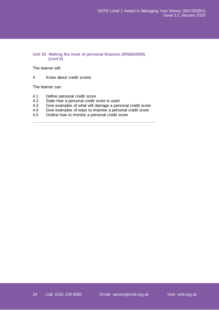# **Unit 02 Making the most of personal finances (R/506/2859) (cont'd)**

The learner will:

4 Know about credit scores

The learner can:

- 4.1 Define personal credit score<br>4.2 State how a personal credit s
- State how a personal credit score is used
- 4.3 Give examples of what will damage a personal credit score<br>4.4 Give examples of ways to improve a personal credit score
- Give examples of ways to improve a personal credit score
- 4.5 Outline how to monitor a personal credit score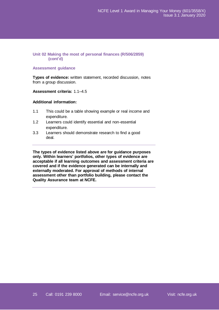# **Unit 02 Making the most of personal finances (R/506/2859) (cont'd)**

# **Assessment guidance**

**Types of evidence:** written statement, recorded discussion, notes from a group discussion.

# **Assessment criteria:** 1.1–4.5

# **Additional information:**

- 1.1 This could be a table showing example or real income and expenditure.
- 1.2 Learners could identify essential and non-essential expenditure.
- 3.3 Learners should demonstrate research to find a good deal.

**The types of evidence listed above are for guidance purposes only. Within learners' portfolios, other types of evidence are acceptable if all learning outcomes and assessment criteria are covered and if the evidence generated can be internally and externally moderated. For approval of methods of internal assessment other than portfolio building, please contact the Quality Assurance team at NCFE.**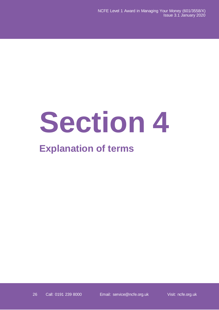# **Section 4**

# **Explanation of terms**

26 Call: 0191 239 8000 Email: [service@ncfe.org.uk](mailto:service@ncfe.org.uk) Visit: ncfe.org.uk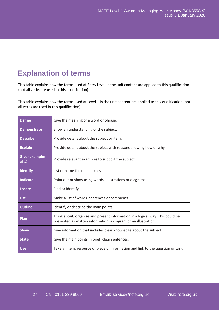# **Explanation of terms**

This table explains how the terms used at Entry Level in the unit content are applied to this qualification (not all verbs are used in this qualification).

This table explains how the terms used at Level 1 in the unit content are applied to this qualification (not all verbs are used in this qualification).

| <b>Define</b>                   | Give the meaning of a word or phrase.                                                                                                            |
|---------------------------------|--------------------------------------------------------------------------------------------------------------------------------------------------|
| <b>Demonstrate</b>              | Show an understanding of the subject.                                                                                                            |
| <b>Describe</b>                 | Provide details about the subject or item.                                                                                                       |
| <b>Explain</b>                  | Provide details about the subject with reasons showing how or why.                                                                               |
| <b>Give (examples</b><br>$of$ ) | Provide relevant examples to support the subject.                                                                                                |
| <b>Identify</b>                 | List or name the main points.                                                                                                                    |
| <b>Indicate</b>                 | Point out or show using words, illustrations or diagrams.                                                                                        |
| Locate                          | Find or identify.                                                                                                                                |
| <b>List</b>                     | Make a list of words, sentences or comments.                                                                                                     |
| <b>Outline</b>                  | Identify or describe the main points.                                                                                                            |
| Plan                            | Think about, organise and present information in a logical way. This could be<br>presented as written information, a diagram or an illustration. |
| <b>Show</b>                     | Give information that includes clear knowledge about the subject.                                                                                |
| <b>State</b>                    | Give the main points in brief, clear sentences.                                                                                                  |
| <b>Use</b>                      | Take an item, resource or piece of information and link to the question or task.                                                                 |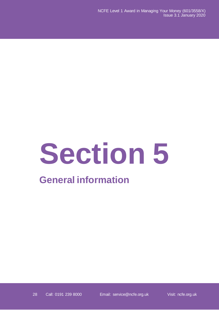# **Section 5**

# **General information**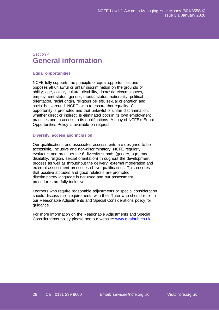# Section 4 **General information**

# **Equal opportunities**

NCFE fully supports the principle of equal opportunities and opposes all unlawful or unfair discrimination on the grounds of ability, age, colour, culture, disability, domestic circumstances, employment status, gender, marital status, nationality, political orientation, racial origin, religious beliefs, sexual orientation and social background. NCFE aims to ensure that equality of opportunity is promoted and that unlawful or unfair discrimination, whether direct or indirect, is eliminated both in its own employment practices and in access to its qualifications. A copy of NCFE's Equal Opportunities Policy is available on request.

# **Diversity, access and inclusion**

Our qualifications and associated assessments are designed to be accessible, inclusive and non-discriminatory. NCFE regularly evaluates and monitors the 6 diversity strands (gender, age, race, disability, religion, sexual orientation) throughout the development process as well as throughout the delivery, external moderation and external assessment processes of live qualifications. This ensures that positive attitudes and good relations are promoted, discriminatory language is not used and our assessment procedures are fully inclusive.

Learners who require reasonable adjustments or special consideration should discuss their requirements with their Tutor who should refer to our Reasonable Adjustments and Special Considerations policy for guidance.

For more information on the Reasonable Adjustments and Special Considerations policy please see our website: [www.qualhub.co.uk](https://www.qualhub.co.uk/)